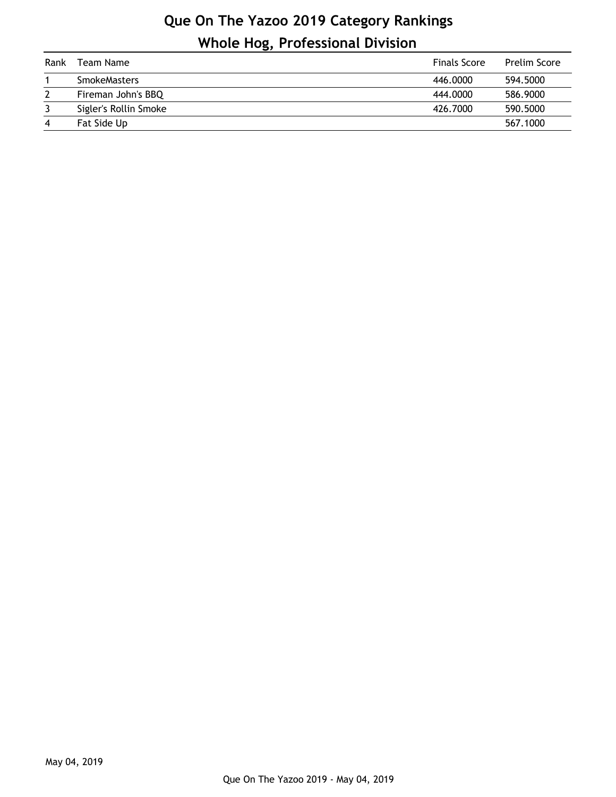## **Que On The Yazoo 2019 Category Rankings Whole Hog, Professional Division**

| Rank           | Team Name             | <b>Finals Score</b> | <b>Prelim Score</b> |
|----------------|-----------------------|---------------------|---------------------|
|                | <b>SmokeMasters</b>   | 446,0000            | 594,5000            |
|                | Fireman John's BBQ    | 444,0000            | 586,9000            |
|                | Sigler's Rollin Smoke | 426.7000            | 590.5000            |
| $\overline{4}$ | Fat Side Up           |                     | 567.1000            |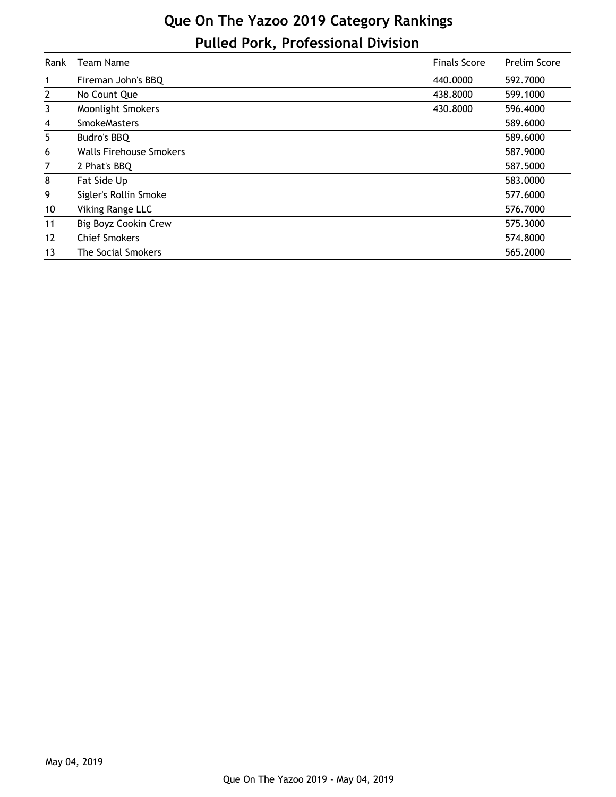## **Que On The Yazoo 2019 Category Rankings Pulled Pork, Professional Division**

| Rank           | Team Name                      | <b>Finals Score</b> | <b>Prelim Score</b> |
|----------------|--------------------------------|---------------------|---------------------|
| 1              | Fireman John's BBQ             | 440,0000            | 592.7000            |
| $\overline{2}$ | No Count Que                   | 438.8000            | 599.1000            |
| 3              | <b>Moonlight Smokers</b>       | 430.8000            | 596.4000            |
| 4              | <b>SmokeMasters</b>            |                     | 589.6000            |
| 5              | Budro's BBQ                    |                     | 589.6000            |
| 6              | <b>Walls Firehouse Smokers</b> |                     | 587.9000            |
| 7              | 2 Phat's BBQ                   |                     | 587.5000            |
| 8              | Fat Side Up                    |                     | 583.0000            |
| 9              | Sigler's Rollin Smoke          |                     | 577.6000            |
| 10             | Viking Range LLC               |                     | 576.7000            |
| 11             | Big Boyz Cookin Crew           |                     | 575.3000            |
| 12             | <b>Chief Smokers</b>           |                     | 574.8000            |
| 13             | The Social Smokers             |                     | 565.2000            |